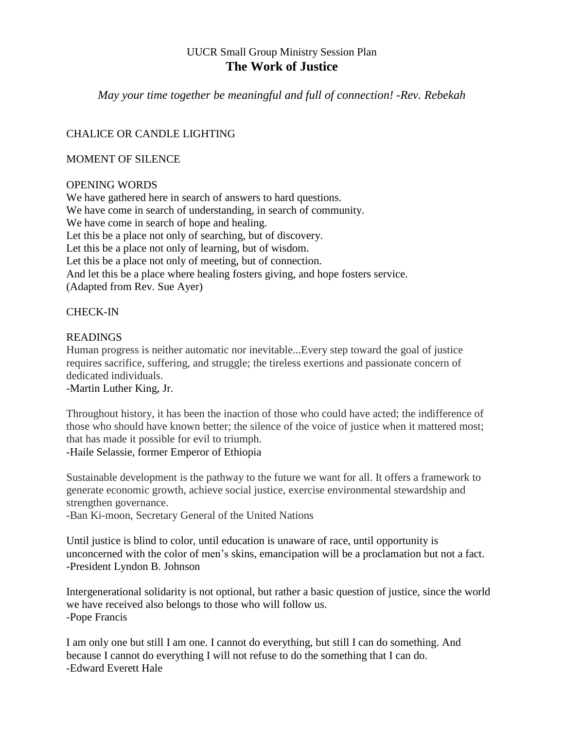# UUCR Small Group Ministry Session Plan **The Work of Justice**

*May your time together be meaningful and full of connection! -Rev. Rebekah*

## CHALICE OR CANDLE LIGHTING

### MOMENT OF SILENCE

#### OPENING WORDS

We have gathered here in search of answers to hard questions. We have come in search of understanding, in search of community. We have come in search of hope and healing. Let this be a place not only of searching, but of discovery. Let this be a place not only of learning, but of wisdom. Let this be a place not only of meeting, but of connection. And let this be a place where healing fosters giving, and hope fosters service. (Adapted from Rev. Sue Ayer)

## CHECK-IN

## **READINGS**

Human progress is neither automatic nor inevitable...Every step toward the goal of justice requires sacrifice, suffering, and struggle; the tireless exertions and passionate concern of dedicated individuals.

-Martin Luther King, Jr.

Throughout history, it has been the inaction of those who could have acted; the [indifference](http://www.brainyquote.com/quotes/quotes/h/haileselas540912.html?src=t_justice) of those who should have known better; the silence of the voice of justice when it [mattered](http://www.brainyquote.com/quotes/quotes/h/haileselas540912.html?src=t_justice) most; that has made it possible for evil to [triumph.](http://www.brainyquote.com/quotes/quotes/h/haileselas540912.html?src=t_justice) -Haile Selassie, former Emperor of Ethiopia

Sustainable development is the pathway to the future we want for all. It offers a framework to generate economic growth, achieve social justice, exercise environmental stewardship and strengthen governance.

-Ban Ki-moon, Secretary General of the United Nations

Until justice is blind to color, until education is unaware of race, until opportunity is unconcerned with the color of men's skins, emancipation will be a proclamation but not a fact. -President Lyndon B. Johnson

Intergenerational solidarity is not optional, but rather a basic question of justice, since the world we have received also belongs to those who will follow us. -Pope Francis

I am only one but still I am one. I cannot do everything, but still I can do something. And because I cannot do everything I will not refuse to do the something that I can do. -Edward Everett Hale